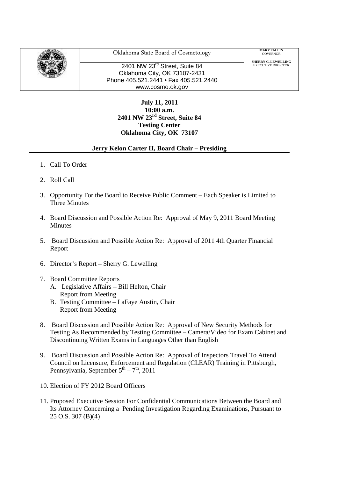

Oklahoma State Board of Cosmetology

2401 NW 23<sup>rd</sup> Street, Suite 84 Oklahoma City, OK 73107-2431 Phone 405.521.2441 • Fax 405.521.2440 www.cosmo.ok.gov

**MARY FALLIN**<br>GOVERNOR

**SHERRY G. LEWELLING**<br>EXECUTIVE DIRECTOR

**July 11, 2011 10:00 a.m. 2401 NW 23rd Street, Suite 84 Testing Center Oklahoma City, OK 73107**

## **Jerry Kelon Carter II, Board Chair – Presiding**

- 1. Call To Order
- 2. Roll Call
- 3. Opportunity For the Board to Receive Public Comment Each Speaker is Limited to Three Minutes
- 4. Board Discussion and Possible Action Re: Approval of May 9, 2011 Board Meeting Minutes
- 5. Board Discussion and Possible Action Re: Approval of 2011 4th Quarter Financial Report
- 6. Director's Report Sherry G. Lewelling
- 7. Board Committee Reports
	- A. Legislative Affairs Bill Helton, Chair Report from Meeting
	- B. Testing Committee LaFaye Austin, Chair Report from Meeting
- 8. Board Discussion and Possible Action Re: Approval of New Security Methods for Testing As Recommended by Testing Committee – Camera/Video for Exam Cabinet and Discontinuing Written Exams in Languages Other than English
- 9. Board Discussion and Possible Action Re: Approval of Inspectors Travel To Attend Council on Licensure, Enforcement and Regulation (CLEAR) Training in Pittsburgh, Pennsylvania, September  $5<sup>th</sup> - 7<sup>th</sup>$ , 2011
- 10. Election of FY 2012 Board Officers
- 11. Proposed Executive Session For Confidential Communications Between the Board and Its Attorney Concerning a Pending Investigation Regarding Examinations, Pursuant to 25 O.S. 307 (B)(4)